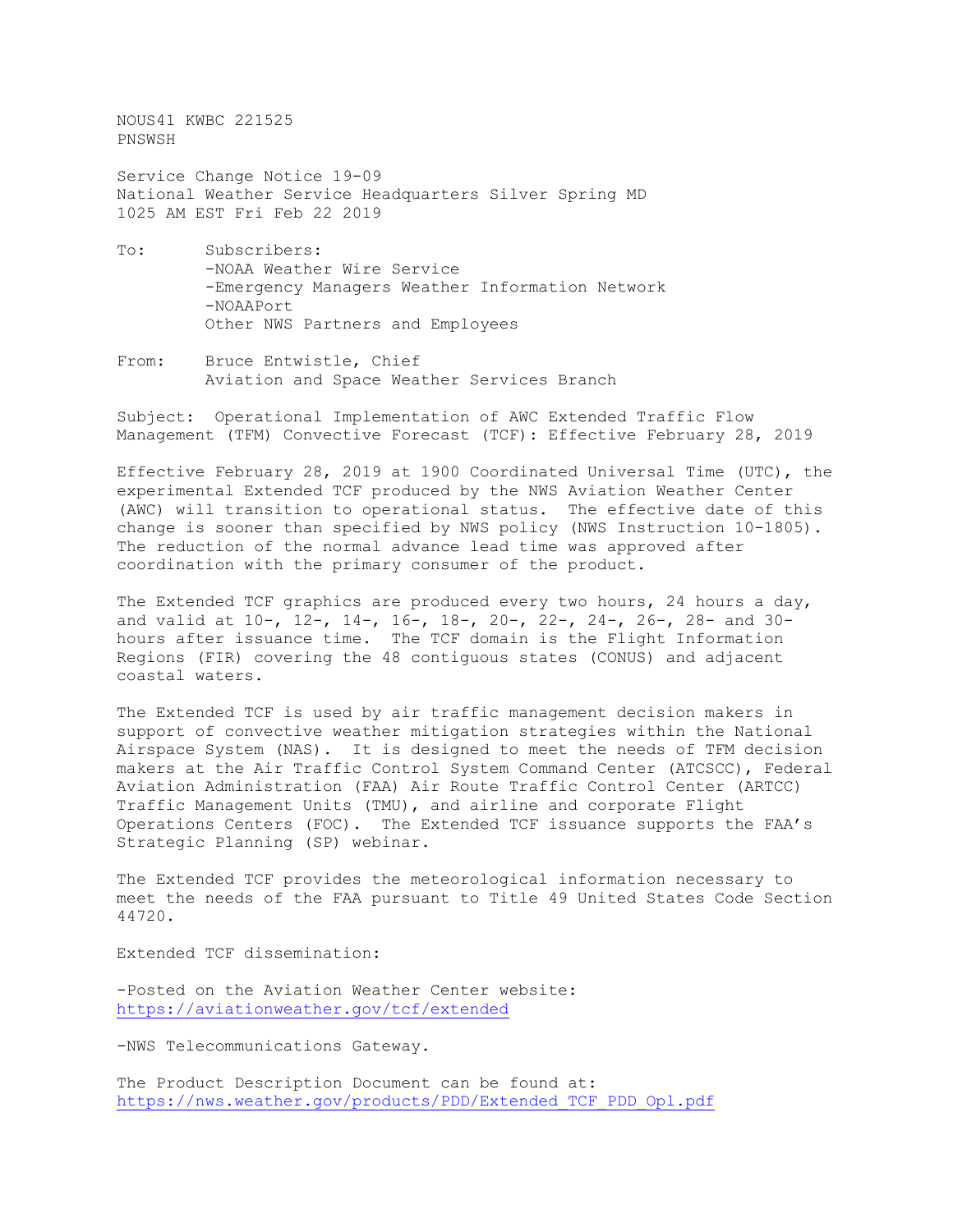NOUS41 KWBC 221525 PNSWSH

Service Change Notice 19-09 National Weather Service Headquarters Silver Spring MD 1025 AM EST Fri Feb 22 2019

- To: Subscribers: -NOAA Weather Wire Service -Emergency Managers Weather Information Network -NOAAPort Other NWS Partners and Employees
- From: Bruce Entwistle, Chief Aviation and Space Weather Services Branch

Subject: Operational Implementation of AWC Extended Traffic Flow Management (TFM) Convective Forecast (TCF): Effective February 28, 2019

Effective February 28, 2019 at 1900 Coordinated Universal Time (UTC), the experimental Extended TCF produced by the NWS Aviation Weather Center (AWC) will transition to operational status. The effective date of this change is sooner than specified by NWS policy (NWS Instruction 10-1805). The reduction of the normal advance lead time was approved after coordination with the primary consumer of the product.

The Extended TCF graphics are produced every two hours, 24 hours a day, and valid at 10-, 12-, 14-, 16-, 18-, 20-, 22-, 24-, 26-, 28- and 30 hours after issuance time. The TCF domain is the Flight Information Regions (FIR) covering the 48 contiguous states (CONUS) and adjacent coastal waters.

The Extended TCF is used by air traffic management decision makers in support of convective weather mitigation strategies within the National Airspace System (NAS). It is designed to meet the needs of TFM decision makers at the Air Traffic Control System Command Center (ATCSCC), Federal Aviation Administration (FAA) Air Route Traffic Control Center (ARTCC) Traffic Management Units (TMU), and airline and corporate Flight Operations Centers (FOC). The Extended TCF issuance supports the FAA's Strategic Planning (SP) webinar.

The Extended TCF provides the meteorological information necessary to meet the needs of the FAA pursuant to Title 49 United States Code Section 44720.

Extended TCF dissemination:

-Posted on the Aviation Weather Center website: <https://aviationweather.gov/tcf/extended>

-NWS Telecommunications Gateway.

The Product Description Document can be found at: [https://nws.weather.gov/products/PDD/Extended\\_TCF\\_PDD\\_Opl.pdf](https://nws.weather.gov/products/PDD/Extended_TCF_PDD_Opl.pdf)